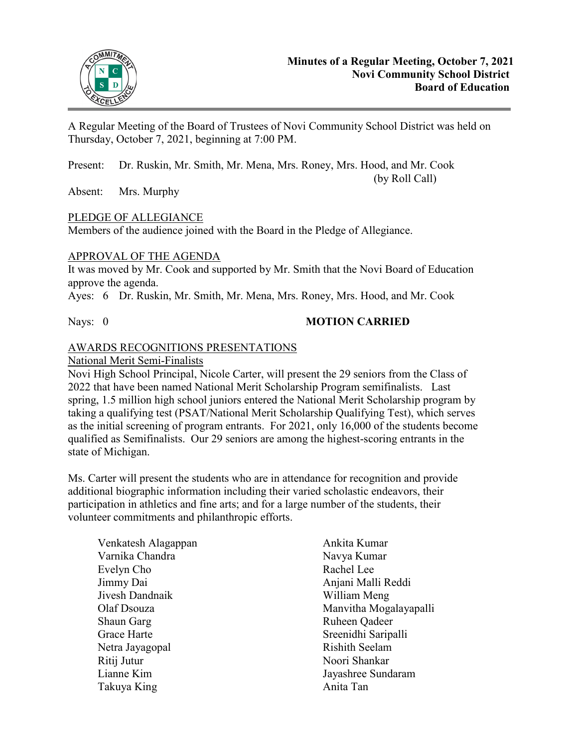

A Regular Meeting of the Board of Trustees of Novi Community School District was held on Thursday, October 7, 2021, beginning at 7:00 PM.

Present: Dr. Ruskin, Mr. Smith, Mr. Mena, Mrs. Roney, Mrs. Hood, and Mr. Cook (by Roll Call)

Absent: Mrs. Murphy

## PLEDGE OF ALLEGIANCE

Members of the audience joined with the Board in the Pledge of Allegiance.

## APPROVAL OF THE AGENDA

It was moved by Mr. Cook and supported by Mr. Smith that the Novi Board of Education approve the agenda.

Ayes: 6 Dr. Ruskin, Mr. Smith, Mr. Mena, Mrs. Roney, Mrs. Hood, and Mr. Cook

# Nays: 0 **MOTION CARRIED**

# AWARDS RECOGNITIONS PRESENTATIONS

National Merit Semi-Finalists

Novi High School Principal, Nicole Carter, will present the 29 seniors from the Class of 2022 that have been named National Merit Scholarship Program semifinalists. Last spring, 1.5 million high school juniors entered the National Merit Scholarship program by taking a qualifying test (PSAT/National Merit Scholarship Qualifying Test), which serves as the initial screening of program entrants. For 2021, only 16,000 of the students become qualified as Semifinalists. Our 29 seniors are among the highest-scoring entrants in the state of Michigan.

Ms. Carter will present the students who are in attendance for recognition and provide additional biographic information including their varied scholastic endeavors, their participation in athletics and fine arts; and for a large number of the students, their volunteer commitments and philanthropic efforts.

| Venkatesh Alagappan | Ankita Kumar           |
|---------------------|------------------------|
| Varnika Chandra     | Navya Kumar            |
| Evelyn Cho          | Rachel Lee             |
| Jimmy Dai           | Anjani Malli Reddi     |
| Jivesh Dandnaik     | William Meng           |
| Olaf Dsouza         | Manvitha Mogalayapalli |
| Shaun Garg          | Ruheen Qadeer          |
| Grace Harte         | Sreenidhi Saripalli    |
| Netra Jayagopal     | <b>Rishith Seelam</b>  |
| Ritij Jutur         | Noori Shankar          |
| Lianne Kim          | Jayashree Sundaram     |
| Takuya King         | Anita Tan              |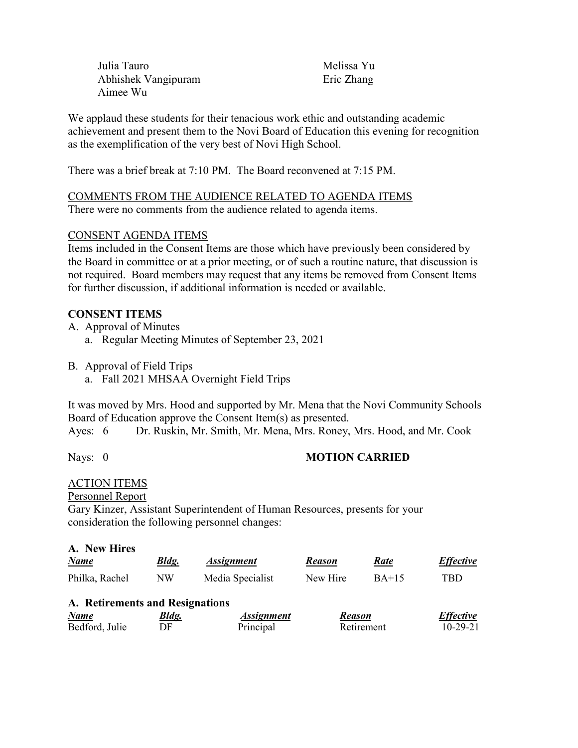Julia Tauro Abhishek Vangipuram Aimee Wu

Melissa Yu Eric Zhang

We applaud these students for their tenacious work ethic and outstanding academic achievement and present them to the Novi Board of Education this evening for recognition as the exemplification of the very best of Novi High School.

There was a brief break at 7:10 PM. The Board reconvened at 7:15 PM.

### COMMENTS FROM THE AUDIENCE RELATED TO AGENDA ITEMS There were no comments from the audience related to agenda items.

### CONSENT AGENDA ITEMS

Items included in the Consent Items are those which have previously been considered by the Board in committee or at a prior meeting, or of such a routine nature, that discussion is not required. Board members may request that any items be removed from Consent Items for further discussion, if additional information is needed or available.

## **CONSENT ITEMS**

A. Approval of Minutes

- a. Regular Meeting Minutes of September 23, 2021
- B. Approval of Field Trips
	- a. Fall 2021 MHSAA Overnight Field Trips

It was moved by Mrs. Hood and supported by Mr. Mena that the Novi Community Schools Board of Education approve the Consent Item(s) as presented.

Ayes: 6 Dr. Ruskin, Mr. Smith, Mr. Mena, Mrs. Roney, Mrs. Hood, and Mr. Cook

## Nays: 0 **MOTION CARRIED**

## ACTION ITEMS

Personnel Report

Gary Kinzer, Assistant Superintendent of Human Resources, presents for your consideration the following personnel changes:

#### **A. New Hires**

| <b>Name</b>                     | <b>Bldg.</b> | <b>Assignment</b> | <b>Reason</b> | Rate       | <b>Effective</b> |
|---------------------------------|--------------|-------------------|---------------|------------|------------------|
| Philka, Rachel                  | <b>NW</b>    | Media Specialist  | New Hire      | $BA+15$    | TBD              |
| A. Retirements and Resignations |              |                   |               |            |                  |
| <b>Name</b>                     | <u>Bldg.</u> | <b>Assignment</b> | <b>Reason</b> |            | <b>Effective</b> |
| Bedford, Julie                  | DF           | Principal         |               | Retirement | $10 - 29 - 21$   |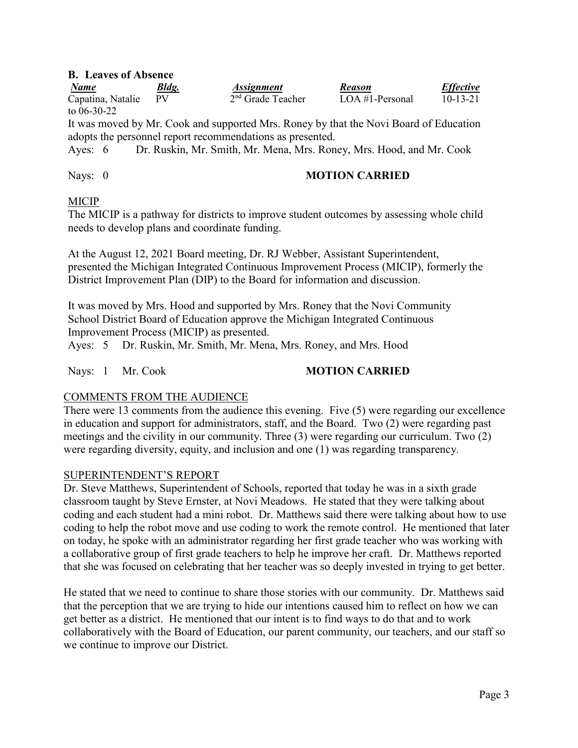### **B. Leaves of Absence**

| <b>Name</b>       | Bldg. | <i><b>Assignment</b></i> | <b>Reason</b>   | <b>Effective</b> |
|-------------------|-------|--------------------------|-----------------|------------------|
| Capatina, Natalie |       | $2nd$ Grade Teacher      | LOA #1-Personal | $10 - 13 - 21$   |
| to $06 - 30 - 22$ |       |                          |                 |                  |

It was moved by Mr. Cook and supported Mrs. Roney by that the Novi Board of Education adopts the personnel report recommendations as presented.

Ayes: 6 Dr. Ruskin, Mr. Smith, Mr. Mena, Mrs. Roney, Mrs. Hood, and Mr. Cook

### Nays: 0 **MOTION CARRIED**

### MICIP

The MICIP is a pathway for districts to improve student outcomes by assessing whole child needs to develop plans and coordinate funding.

At the August 12, 2021 Board meeting, Dr. RJ Webber, Assistant Superintendent, presented the Michigan Integrated Continuous Improvement Process (MICIP), formerly the District Improvement Plan (DIP) to the Board for information and discussion.

It was moved by Mrs. Hood and supported by Mrs. Roney that the Novi Community School District Board of Education approve the Michigan Integrated Continuous Improvement Process (MICIP) as presented.

Ayes: 5 Dr. Ruskin, Mr. Smith, Mr. Mena, Mrs. Roney, and Mrs. Hood

## Nays: 1 Mr. Cook **MOTION CARRIED**

## COMMENTS FROM THE AUDIENCE

There were 13 comments from the audience this evening. Five (5) were regarding our excellence in education and support for administrators, staff, and the Board. Two (2) were regarding past meetings and the civility in our community. Three (3) were regarding our curriculum. Two (2) were regarding diversity, equity, and inclusion and one (1) was regarding transparency.

## SUPERINTENDENT'S REPORT

Dr. Steve Matthews, Superintendent of Schools, reported that today he was in a sixth grade classroom taught by Steve Ernster, at Novi Meadows. He stated that they were talking about coding and each student had a mini robot. Dr. Matthews said there were talking about how to use coding to help the robot move and use coding to work the remote control. He mentioned that later on today, he spoke with an administrator regarding her first grade teacher who was working with a collaborative group of first grade teachers to help he improve her craft. Dr. Matthews reported that she was focused on celebrating that her teacher was so deeply invested in trying to get better.

He stated that we need to continue to share those stories with our community. Dr. Matthews said that the perception that we are trying to hide our intentions caused him to reflect on how we can get better as a district. He mentioned that our intent is to find ways to do that and to work collaboratively with the Board of Education, our parent community, our teachers, and our staff so we continue to improve our District.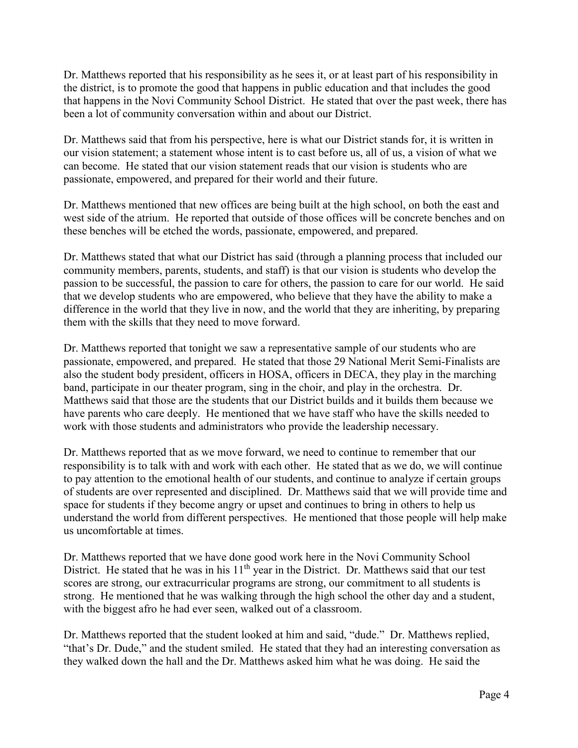Dr. Matthews reported that his responsibility as he sees it, or at least part of his responsibility in the district, is to promote the good that happens in public education and that includes the good that happens in the Novi Community School District. He stated that over the past week, there has been a lot of community conversation within and about our District.

Dr. Matthews said that from his perspective, here is what our District stands for, it is written in our vision statement; a statement whose intent is to cast before us, all of us, a vision of what we can become. He stated that our vision statement reads that our vision is students who are passionate, empowered, and prepared for their world and their future.

Dr. Matthews mentioned that new offices are being built at the high school, on both the east and west side of the atrium. He reported that outside of those offices will be concrete benches and on these benches will be etched the words, passionate, empowered, and prepared.

Dr. Matthews stated that what our District has said (through a planning process that included our community members, parents, students, and staff) is that our vision is students who develop the passion to be successful, the passion to care for others, the passion to care for our world. He said that we develop students who are empowered, who believe that they have the ability to make a difference in the world that they live in now, and the world that they are inheriting, by preparing them with the skills that they need to move forward.

Dr. Matthews reported that tonight we saw a representative sample of our students who are passionate, empowered, and prepared. He stated that those 29 National Merit Semi-Finalists are also the student body president, officers in HOSA, officers in DECA, they play in the marching band, participate in our theater program, sing in the choir, and play in the orchestra. Dr. Matthews said that those are the students that our District builds and it builds them because we have parents who care deeply. He mentioned that we have staff who have the skills needed to work with those students and administrators who provide the leadership necessary.

Dr. Matthews reported that as we move forward, we need to continue to remember that our responsibility is to talk with and work with each other. He stated that as we do, we will continue to pay attention to the emotional health of our students, and continue to analyze if certain groups of students are over represented and disciplined. Dr. Matthews said that we will provide time and space for students if they become angry or upset and continues to bring in others to help us understand the world from different perspectives. He mentioned that those people will help make us uncomfortable at times.

Dr. Matthews reported that we have done good work here in the Novi Community School District. He stated that he was in his 11<sup>th</sup> year in the District. Dr. Matthews said that our test scores are strong, our extracurricular programs are strong, our commitment to all students is strong. He mentioned that he was walking through the high school the other day and a student, with the biggest afro he had ever seen, walked out of a classroom.

Dr. Matthews reported that the student looked at him and said, "dude." Dr. Matthews replied, "that's Dr. Dude," and the student smiled. He stated that they had an interesting conversation as they walked down the hall and the Dr. Matthews asked him what he was doing. He said the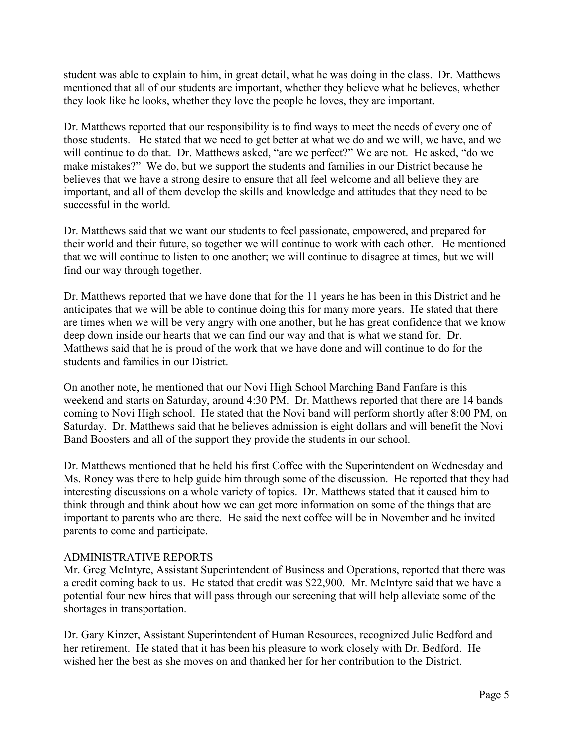student was able to explain to him, in great detail, what he was doing in the class. Dr. Matthews mentioned that all of our students are important, whether they believe what he believes, whether they look like he looks, whether they love the people he loves, they are important.

Dr. Matthews reported that our responsibility is to find ways to meet the needs of every one of those students. He stated that we need to get better at what we do and we will, we have, and we will continue to do that. Dr. Matthews asked, "are we perfect?" We are not. He asked, "do we make mistakes?" We do, but we support the students and families in our District because he believes that we have a strong desire to ensure that all feel welcome and all believe they are important, and all of them develop the skills and knowledge and attitudes that they need to be successful in the world.

Dr. Matthews said that we want our students to feel passionate, empowered, and prepared for their world and their future, so together we will continue to work with each other. He mentioned that we will continue to listen to one another; we will continue to disagree at times, but we will find our way through together.

Dr. Matthews reported that we have done that for the 11 years he has been in this District and he anticipates that we will be able to continue doing this for many more years. He stated that there are times when we will be very angry with one another, but he has great confidence that we know deep down inside our hearts that we can find our way and that is what we stand for. Dr. Matthews said that he is proud of the work that we have done and will continue to do for the students and families in our District.

On another note, he mentioned that our Novi High School Marching Band Fanfare is this weekend and starts on Saturday, around 4:30 PM. Dr. Matthews reported that there are 14 bands coming to Novi High school. He stated that the Novi band will perform shortly after 8:00 PM, on Saturday. Dr. Matthews said that he believes admission is eight dollars and will benefit the Novi Band Boosters and all of the support they provide the students in our school.

Dr. Matthews mentioned that he held his first Coffee with the Superintendent on Wednesday and Ms. Roney was there to help guide him through some of the discussion. He reported that they had interesting discussions on a whole variety of topics. Dr. Matthews stated that it caused him to think through and think about how we can get more information on some of the things that are important to parents who are there. He said the next coffee will be in November and he invited parents to come and participate.

## ADMINISTRATIVE REPORTS

Mr. Greg McIntyre, Assistant Superintendent of Business and Operations, reported that there was a credit coming back to us. He stated that credit was \$22,900. Mr. McIntyre said that we have a potential four new hires that will pass through our screening that will help alleviate some of the shortages in transportation.

Dr. Gary Kinzer, Assistant Superintendent of Human Resources, recognized Julie Bedford and her retirement. He stated that it has been his pleasure to work closely with Dr. Bedford. He wished her the best as she moves on and thanked her for her contribution to the District.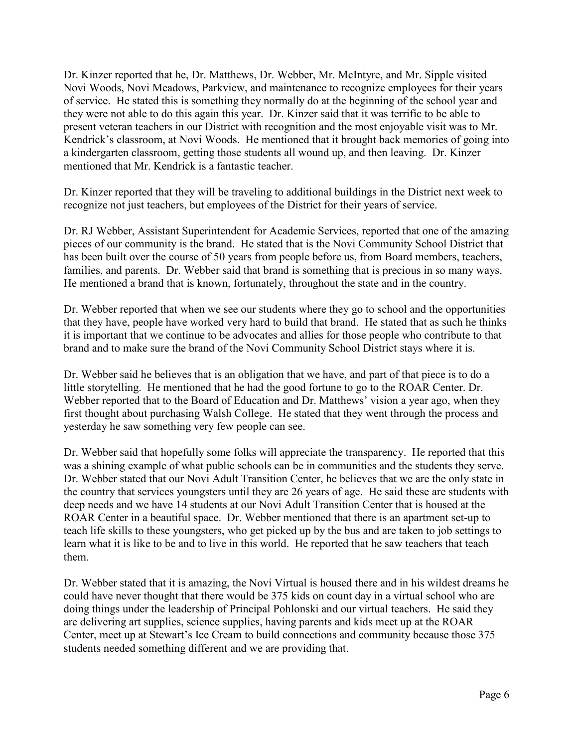Dr. Kinzer reported that he, Dr. Matthews, Dr. Webber, Mr. McIntyre, and Mr. Sipple visited Novi Woods, Novi Meadows, Parkview, and maintenance to recognize employees for their years of service. He stated this is something they normally do at the beginning of the school year and they were not able to do this again this year. Dr. Kinzer said that it was terrific to be able to present veteran teachers in our District with recognition and the most enjoyable visit was to Mr. Kendrick's classroom, at Novi Woods. He mentioned that it brought back memories of going into a kindergarten classroom, getting those students all wound up, and then leaving. Dr. Kinzer mentioned that Mr. Kendrick is a fantastic teacher.

Dr. Kinzer reported that they will be traveling to additional buildings in the District next week to recognize not just teachers, but employees of the District for their years of service.

Dr. RJ Webber, Assistant Superintendent for Academic Services, reported that one of the amazing pieces of our community is the brand. He stated that is the Novi Community School District that has been built over the course of 50 years from people before us, from Board members, teachers, families, and parents. Dr. Webber said that brand is something that is precious in so many ways. He mentioned a brand that is known, fortunately, throughout the state and in the country.

Dr. Webber reported that when we see our students where they go to school and the opportunities that they have, people have worked very hard to build that brand. He stated that as such he thinks it is important that we continue to be advocates and allies for those people who contribute to that brand and to make sure the brand of the Novi Community School District stays where it is.

Dr. Webber said he believes that is an obligation that we have, and part of that piece is to do a little storytelling. He mentioned that he had the good fortune to go to the ROAR Center. Dr. Webber reported that to the Board of Education and Dr. Matthews' vision a year ago, when they first thought about purchasing Walsh College. He stated that they went through the process and yesterday he saw something very few people can see.

Dr. Webber said that hopefully some folks will appreciate the transparency. He reported that this was a shining example of what public schools can be in communities and the students they serve. Dr. Webber stated that our Novi Adult Transition Center, he believes that we are the only state in the country that services youngsters until they are 26 years of age. He said these are students with deep needs and we have 14 students at our Novi Adult Transition Center that is housed at the ROAR Center in a beautiful space. Dr. Webber mentioned that there is an apartment set-up to teach life skills to these youngsters, who get picked up by the bus and are taken to job settings to learn what it is like to be and to live in this world. He reported that he saw teachers that teach them.

Dr. Webber stated that it is amazing, the Novi Virtual is housed there and in his wildest dreams he could have never thought that there would be 375 kids on count day in a virtual school who are doing things under the leadership of Principal Pohlonski and our virtual teachers. He said they are delivering art supplies, science supplies, having parents and kids meet up at the ROAR Center, meet up at Stewart's Ice Cream to build connections and community because those 375 students needed something different and we are providing that.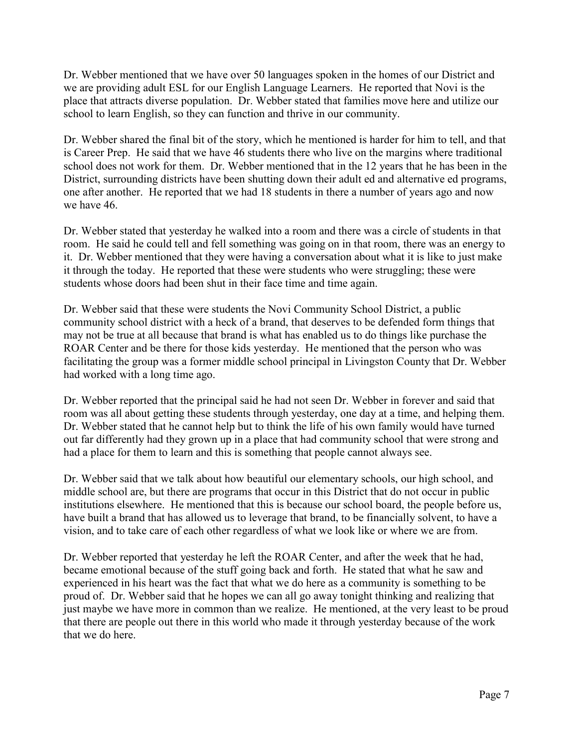Dr. Webber mentioned that we have over 50 languages spoken in the homes of our District and we are providing adult ESL for our English Language Learners. He reported that Novi is the place that attracts diverse population. Dr. Webber stated that families move here and utilize our school to learn English, so they can function and thrive in our community.

Dr. Webber shared the final bit of the story, which he mentioned is harder for him to tell, and that is Career Prep. He said that we have 46 students there who live on the margins where traditional school does not work for them. Dr. Webber mentioned that in the 12 years that he has been in the District, surrounding districts have been shutting down their adult ed and alternative ed programs, one after another. He reported that we had 18 students in there a number of years ago and now we have 46.

Dr. Webber stated that yesterday he walked into a room and there was a circle of students in that room. He said he could tell and fell something was going on in that room, there was an energy to it. Dr. Webber mentioned that they were having a conversation about what it is like to just make it through the today. He reported that these were students who were struggling; these were students whose doors had been shut in their face time and time again.

Dr. Webber said that these were students the Novi Community School District, a public community school district with a heck of a brand, that deserves to be defended form things that may not be true at all because that brand is what has enabled us to do things like purchase the ROAR Center and be there for those kids yesterday. He mentioned that the person who was facilitating the group was a former middle school principal in Livingston County that Dr. Webber had worked with a long time ago.

Dr. Webber reported that the principal said he had not seen Dr. Webber in forever and said that room was all about getting these students through yesterday, one day at a time, and helping them. Dr. Webber stated that he cannot help but to think the life of his own family would have turned out far differently had they grown up in a place that had community school that were strong and had a place for them to learn and this is something that people cannot always see.

Dr. Webber said that we talk about how beautiful our elementary schools, our high school, and middle school are, but there are programs that occur in this District that do not occur in public institutions elsewhere. He mentioned that this is because our school board, the people before us, have built a brand that has allowed us to leverage that brand, to be financially solvent, to have a vision, and to take care of each other regardless of what we look like or where we are from.

Dr. Webber reported that yesterday he left the ROAR Center, and after the week that he had, became emotional because of the stuff going back and forth. He stated that what he saw and experienced in his heart was the fact that what we do here as a community is something to be proud of. Dr. Webber said that he hopes we can all go away tonight thinking and realizing that just maybe we have more in common than we realize. He mentioned, at the very least to be proud that there are people out there in this world who made it through yesterday because of the work that we do here.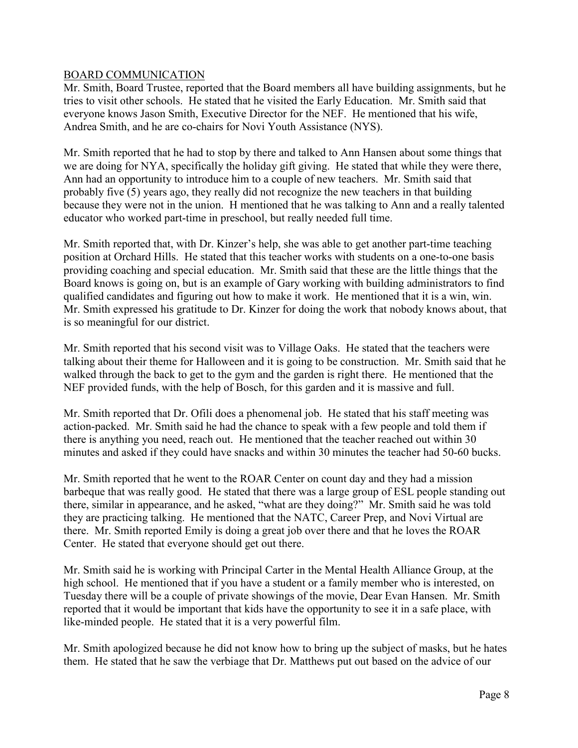#### BOARD COMMUNICATION

Mr. Smith, Board Trustee, reported that the Board members all have building assignments, but he tries to visit other schools. He stated that he visited the Early Education. Mr. Smith said that everyone knows Jason Smith, Executive Director for the NEF. He mentioned that his wife, Andrea Smith, and he are co-chairs for Novi Youth Assistance (NYS).

Mr. Smith reported that he had to stop by there and talked to Ann Hansen about some things that we are doing for NYA, specifically the holiday gift giving. He stated that while they were there, Ann had an opportunity to introduce him to a couple of new teachers. Mr. Smith said that probably five (5) years ago, they really did not recognize the new teachers in that building because they were not in the union. H mentioned that he was talking to Ann and a really talented educator who worked part-time in preschool, but really needed full time.

Mr. Smith reported that, with Dr. Kinzer's help, she was able to get another part-time teaching position at Orchard Hills. He stated that this teacher works with students on a one-to-one basis providing coaching and special education. Mr. Smith said that these are the little things that the Board knows is going on, but is an example of Gary working with building administrators to find qualified candidates and figuring out how to make it work. He mentioned that it is a win, win. Mr. Smith expressed his gratitude to Dr. Kinzer for doing the work that nobody knows about, that is so meaningful for our district.

Mr. Smith reported that his second visit was to Village Oaks. He stated that the teachers were talking about their theme for Halloween and it is going to be construction. Mr. Smith said that he walked through the back to get to the gym and the garden is right there. He mentioned that the NEF provided funds, with the help of Bosch, for this garden and it is massive and full.

Mr. Smith reported that Dr. Ofili does a phenomenal job. He stated that his staff meeting was action-packed. Mr. Smith said he had the chance to speak with a few people and told them if there is anything you need, reach out. He mentioned that the teacher reached out within 30 minutes and asked if they could have snacks and within 30 minutes the teacher had 50-60 bucks.

Mr. Smith reported that he went to the ROAR Center on count day and they had a mission barbeque that was really good. He stated that there was a large group of ESL people standing out there, similar in appearance, and he asked, "what are they doing?" Mr. Smith said he was told they are practicing talking. He mentioned that the NATC, Career Prep, and Novi Virtual are there. Mr. Smith reported Emily is doing a great job over there and that he loves the ROAR Center. He stated that everyone should get out there.

Mr. Smith said he is working with Principal Carter in the Mental Health Alliance Group, at the high school. He mentioned that if you have a student or a family member who is interested, on Tuesday there will be a couple of private showings of the movie, Dear Evan Hansen. Mr. Smith reported that it would be important that kids have the opportunity to see it in a safe place, with like-minded people. He stated that it is a very powerful film.

Mr. Smith apologized because he did not know how to bring up the subject of masks, but he hates them. He stated that he saw the verbiage that Dr. Matthews put out based on the advice of our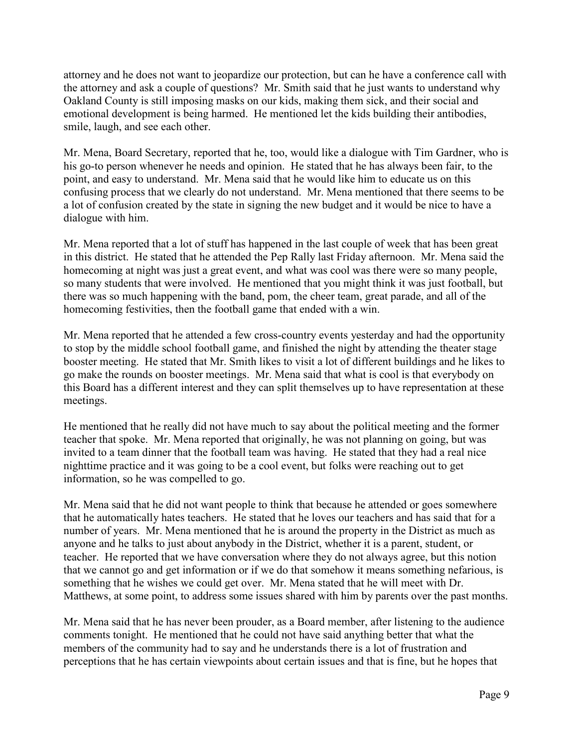attorney and he does not want to jeopardize our protection, but can he have a conference call with the attorney and ask a couple of questions? Mr. Smith said that he just wants to understand why Oakland County is still imposing masks on our kids, making them sick, and their social and emotional development is being harmed. He mentioned let the kids building their antibodies, smile, laugh, and see each other.

Mr. Mena, Board Secretary, reported that he, too, would like a dialogue with Tim Gardner, who is his go-to person whenever he needs and opinion. He stated that he has always been fair, to the point, and easy to understand. Mr. Mena said that he would like him to educate us on this confusing process that we clearly do not understand. Mr. Mena mentioned that there seems to be a lot of confusion created by the state in signing the new budget and it would be nice to have a dialogue with him.

Mr. Mena reported that a lot of stuff has happened in the last couple of week that has been great in this district. He stated that he attended the Pep Rally last Friday afternoon. Mr. Mena said the homecoming at night was just a great event, and what was cool was there were so many people, so many students that were involved. He mentioned that you might think it was just football, but there was so much happening with the band, pom, the cheer team, great parade, and all of the homecoming festivities, then the football game that ended with a win.

Mr. Mena reported that he attended a few cross-country events yesterday and had the opportunity to stop by the middle school football game, and finished the night by attending the theater stage booster meeting. He stated that Mr. Smith likes to visit a lot of different buildings and he likes to go make the rounds on booster meetings. Mr. Mena said that what is cool is that everybody on this Board has a different interest and they can split themselves up to have representation at these meetings.

He mentioned that he really did not have much to say about the political meeting and the former teacher that spoke. Mr. Mena reported that originally, he was not planning on going, but was invited to a team dinner that the football team was having. He stated that they had a real nice nighttime practice and it was going to be a cool event, but folks were reaching out to get information, so he was compelled to go.

Mr. Mena said that he did not want people to think that because he attended or goes somewhere that he automatically hates teachers. He stated that he loves our teachers and has said that for a number of years. Mr. Mena mentioned that he is around the property in the District as much as anyone and he talks to just about anybody in the District, whether it is a parent, student, or teacher. He reported that we have conversation where they do not always agree, but this notion that we cannot go and get information or if we do that somehow it means something nefarious, is something that he wishes we could get over. Mr. Mena stated that he will meet with Dr. Matthews, at some point, to address some issues shared with him by parents over the past months.

Mr. Mena said that he has never been prouder, as a Board member, after listening to the audience comments tonight. He mentioned that he could not have said anything better that what the members of the community had to say and he understands there is a lot of frustration and perceptions that he has certain viewpoints about certain issues and that is fine, but he hopes that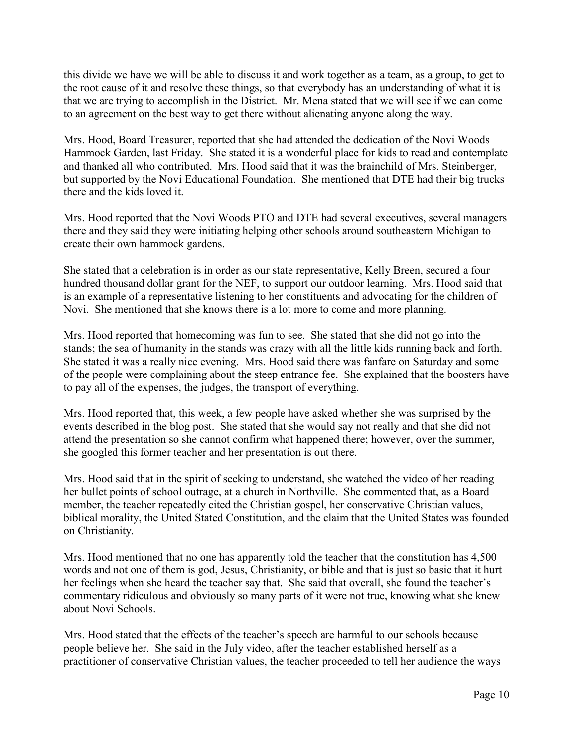this divide we have we will be able to discuss it and work together as a team, as a group, to get to the root cause of it and resolve these things, so that everybody has an understanding of what it is that we are trying to accomplish in the District. Mr. Mena stated that we will see if we can come to an agreement on the best way to get there without alienating anyone along the way.

Mrs. Hood, Board Treasurer, reported that she had attended the dedication of the Novi Woods Hammock Garden, last Friday. She stated it is a wonderful place for kids to read and contemplate and thanked all who contributed. Mrs. Hood said that it was the brainchild of Mrs. Steinberger, but supported by the Novi Educational Foundation. She mentioned that DTE had their big trucks there and the kids loved it.

Mrs. Hood reported that the Novi Woods PTO and DTE had several executives, several managers there and they said they were initiating helping other schools around southeastern Michigan to create their own hammock gardens.

She stated that a celebration is in order as our state representative, Kelly Breen, secured a four hundred thousand dollar grant for the NEF, to support our outdoor learning. Mrs. Hood said that is an example of a representative listening to her constituents and advocating for the children of Novi. She mentioned that she knows there is a lot more to come and more planning.

Mrs. Hood reported that homecoming was fun to see. She stated that she did not go into the stands; the sea of humanity in the stands was crazy with all the little kids running back and forth. She stated it was a really nice evening. Mrs. Hood said there was fanfare on Saturday and some of the people were complaining about the steep entrance fee. She explained that the boosters have to pay all of the expenses, the judges, the transport of everything.

Mrs. Hood reported that, this week, a few people have asked whether she was surprised by the events described in the blog post. She stated that she would say not really and that she did not attend the presentation so she cannot confirm what happened there; however, over the summer, she googled this former teacher and her presentation is out there.

Mrs. Hood said that in the spirit of seeking to understand, she watched the video of her reading her bullet points of school outrage, at a church in Northville. She commented that, as a Board member, the teacher repeatedly cited the Christian gospel, her conservative Christian values, biblical morality, the United Stated Constitution, and the claim that the United States was founded on Christianity.

Mrs. Hood mentioned that no one has apparently told the teacher that the constitution has 4,500 words and not one of them is god, Jesus, Christianity, or bible and that is just so basic that it hurt her feelings when she heard the teacher say that. She said that overall, she found the teacher's commentary ridiculous and obviously so many parts of it were not true, knowing what she knew about Novi Schools.

Mrs. Hood stated that the effects of the teacher's speech are harmful to our schools because people believe her. She said in the July video, after the teacher established herself as a practitioner of conservative Christian values, the teacher proceeded to tell her audience the ways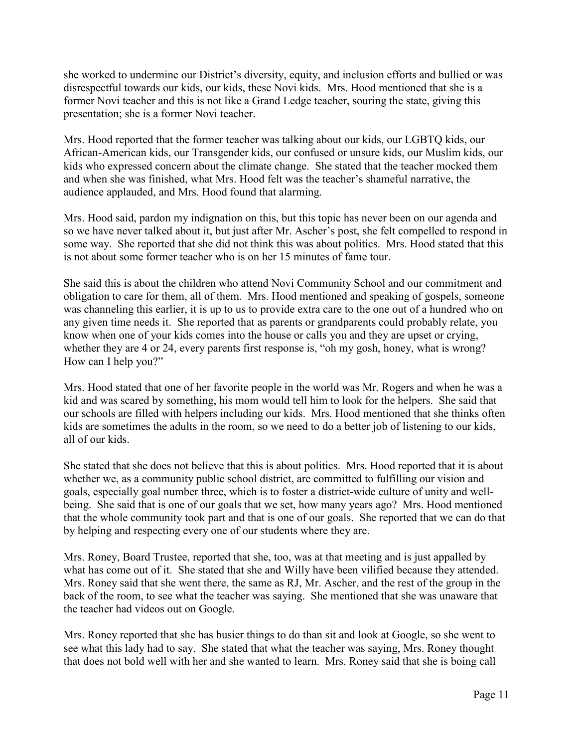she worked to undermine our District's diversity, equity, and inclusion efforts and bullied or was disrespectful towards our kids, our kids, these Novi kids. Mrs. Hood mentioned that she is a former Novi teacher and this is not like a Grand Ledge teacher, souring the state, giving this presentation; she is a former Novi teacher.

Mrs. Hood reported that the former teacher was talking about our kids, our LGBTQ kids, our African-American kids, our Transgender kids, our confused or unsure kids, our Muslim kids, our kids who expressed concern about the climate change. She stated that the teacher mocked them and when she was finished, what Mrs. Hood felt was the teacher's shameful narrative, the audience applauded, and Mrs. Hood found that alarming.

Mrs. Hood said, pardon my indignation on this, but this topic has never been on our agenda and so we have never talked about it, but just after Mr. Ascher's post, she felt compelled to respond in some way. She reported that she did not think this was about politics. Mrs. Hood stated that this is not about some former teacher who is on her 15 minutes of fame tour.

She said this is about the children who attend Novi Community School and our commitment and obligation to care for them, all of them. Mrs. Hood mentioned and speaking of gospels, someone was channeling this earlier, it is up to us to provide extra care to the one out of a hundred who on any given time needs it. She reported that as parents or grandparents could probably relate, you know when one of your kids comes into the house or calls you and they are upset or crying, whether they are 4 or 24, every parents first response is, "oh my gosh, honey, what is wrong? How can I help you?"

Mrs. Hood stated that one of her favorite people in the world was Mr. Rogers and when he was a kid and was scared by something, his mom would tell him to look for the helpers. She said that our schools are filled with helpers including our kids. Mrs. Hood mentioned that she thinks often kids are sometimes the adults in the room, so we need to do a better job of listening to our kids, all of our kids.

She stated that she does not believe that this is about politics. Mrs. Hood reported that it is about whether we, as a community public school district, are committed to fulfilling our vision and goals, especially goal number three, which is to foster a district-wide culture of unity and wellbeing. She said that is one of our goals that we set, how many years ago? Mrs. Hood mentioned that the whole community took part and that is one of our goals. She reported that we can do that by helping and respecting every one of our students where they are.

Mrs. Roney, Board Trustee, reported that she, too, was at that meeting and is just appalled by what has come out of it. She stated that she and Willy have been vilified because they attended. Mrs. Roney said that she went there, the same as RJ, Mr. Ascher, and the rest of the group in the back of the room, to see what the teacher was saying. She mentioned that she was unaware that the teacher had videos out on Google.

Mrs. Roney reported that she has busier things to do than sit and look at Google, so she went to see what this lady had to say. She stated that what the teacher was saying, Mrs. Roney thought that does not bold well with her and she wanted to learn. Mrs. Roney said that she is boing call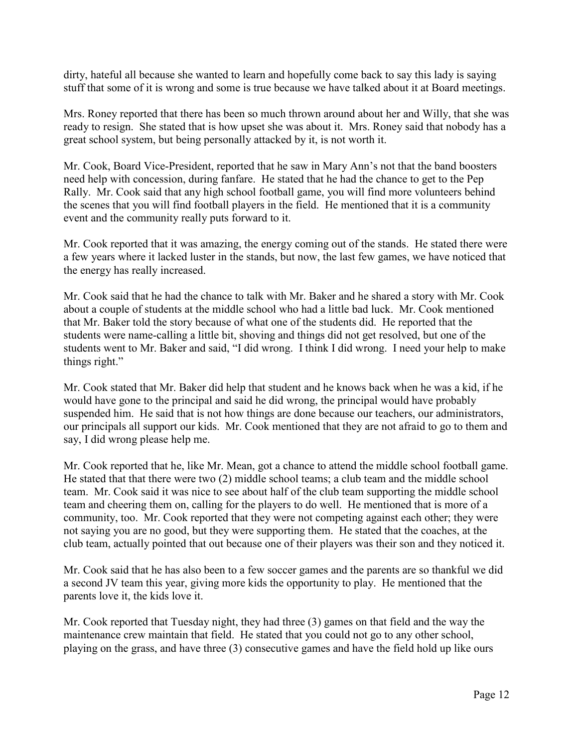dirty, hateful all because she wanted to learn and hopefully come back to say this lady is saying stuff that some of it is wrong and some is true because we have talked about it at Board meetings.

Mrs. Roney reported that there has been so much thrown around about her and Willy, that she was ready to resign. She stated that is how upset she was about it. Mrs. Roney said that nobody has a great school system, but being personally attacked by it, is not worth it.

Mr. Cook, Board Vice-President, reported that he saw in Mary Ann's not that the band boosters need help with concession, during fanfare. He stated that he had the chance to get to the Pep Rally. Mr. Cook said that any high school football game, you will find more volunteers behind the scenes that you will find football players in the field. He mentioned that it is a community event and the community really puts forward to it.

Mr. Cook reported that it was amazing, the energy coming out of the stands. He stated there were a few years where it lacked luster in the stands, but now, the last few games, we have noticed that the energy has really increased.

Mr. Cook said that he had the chance to talk with Mr. Baker and he shared a story with Mr. Cook about a couple of students at the middle school who had a little bad luck. Mr. Cook mentioned that Mr. Baker told the story because of what one of the students did. He reported that the students were name-calling a little bit, shoving and things did not get resolved, but one of the students went to Mr. Baker and said, "I did wrong. I think I did wrong. I need your help to make things right."

Mr. Cook stated that Mr. Baker did help that student and he knows back when he was a kid, if he would have gone to the principal and said he did wrong, the principal would have probably suspended him. He said that is not how things are done because our teachers, our administrators, our principals all support our kids. Mr. Cook mentioned that they are not afraid to go to them and say, I did wrong please help me.

Mr. Cook reported that he, like Mr. Mean, got a chance to attend the middle school football game. He stated that that there were two (2) middle school teams; a club team and the middle school team. Mr. Cook said it was nice to see about half of the club team supporting the middle school team and cheering them on, calling for the players to do well. He mentioned that is more of a community, too. Mr. Cook reported that they were not competing against each other; they were not saying you are no good, but they were supporting them. He stated that the coaches, at the club team, actually pointed that out because one of their players was their son and they noticed it.

Mr. Cook said that he has also been to a few soccer games and the parents are so thankful we did a second JV team this year, giving more kids the opportunity to play. He mentioned that the parents love it, the kids love it.

Mr. Cook reported that Tuesday night, they had three (3) games on that field and the way the maintenance crew maintain that field. He stated that you could not go to any other school, playing on the grass, and have three (3) consecutive games and have the field hold up like ours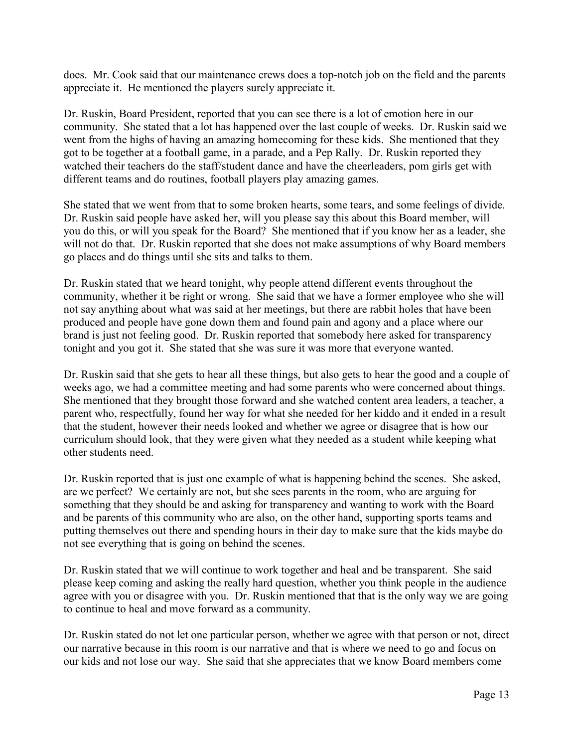does. Mr. Cook said that our maintenance crews does a top-notch job on the field and the parents appreciate it. He mentioned the players surely appreciate it.

Dr. Ruskin, Board President, reported that you can see there is a lot of emotion here in our community. She stated that a lot has happened over the last couple of weeks. Dr. Ruskin said we went from the highs of having an amazing homecoming for these kids. She mentioned that they got to be together at a football game, in a parade, and a Pep Rally. Dr. Ruskin reported they watched their teachers do the staff/student dance and have the cheerleaders, pom girls get with different teams and do routines, football players play amazing games.

She stated that we went from that to some broken hearts, some tears, and some feelings of divide. Dr. Ruskin said people have asked her, will you please say this about this Board member, will you do this, or will you speak for the Board? She mentioned that if you know her as a leader, she will not do that. Dr. Ruskin reported that she does not make assumptions of why Board members go places and do things until she sits and talks to them.

Dr. Ruskin stated that we heard tonight, why people attend different events throughout the community, whether it be right or wrong. She said that we have a former employee who she will not say anything about what was said at her meetings, but there are rabbit holes that have been produced and people have gone down them and found pain and agony and a place where our brand is just not feeling good. Dr. Ruskin reported that somebody here asked for transparency tonight and you got it. She stated that she was sure it was more that everyone wanted.

Dr. Ruskin said that she gets to hear all these things, but also gets to hear the good and a couple of weeks ago, we had a committee meeting and had some parents who were concerned about things. She mentioned that they brought those forward and she watched content area leaders, a teacher, a parent who, respectfully, found her way for what she needed for her kiddo and it ended in a result that the student, however their needs looked and whether we agree or disagree that is how our curriculum should look, that they were given what they needed as a student while keeping what other students need.

Dr. Ruskin reported that is just one example of what is happening behind the scenes. She asked, are we perfect? We certainly are not, but she sees parents in the room, who are arguing for something that they should be and asking for transparency and wanting to work with the Board and be parents of this community who are also, on the other hand, supporting sports teams and putting themselves out there and spending hours in their day to make sure that the kids maybe do not see everything that is going on behind the scenes.

Dr. Ruskin stated that we will continue to work together and heal and be transparent. She said please keep coming and asking the really hard question, whether you think people in the audience agree with you or disagree with you. Dr. Ruskin mentioned that that is the only way we are going to continue to heal and move forward as a community.

Dr. Ruskin stated do not let one particular person, whether we agree with that person or not, direct our narrative because in this room is our narrative and that is where we need to go and focus on our kids and not lose our way. She said that she appreciates that we know Board members come